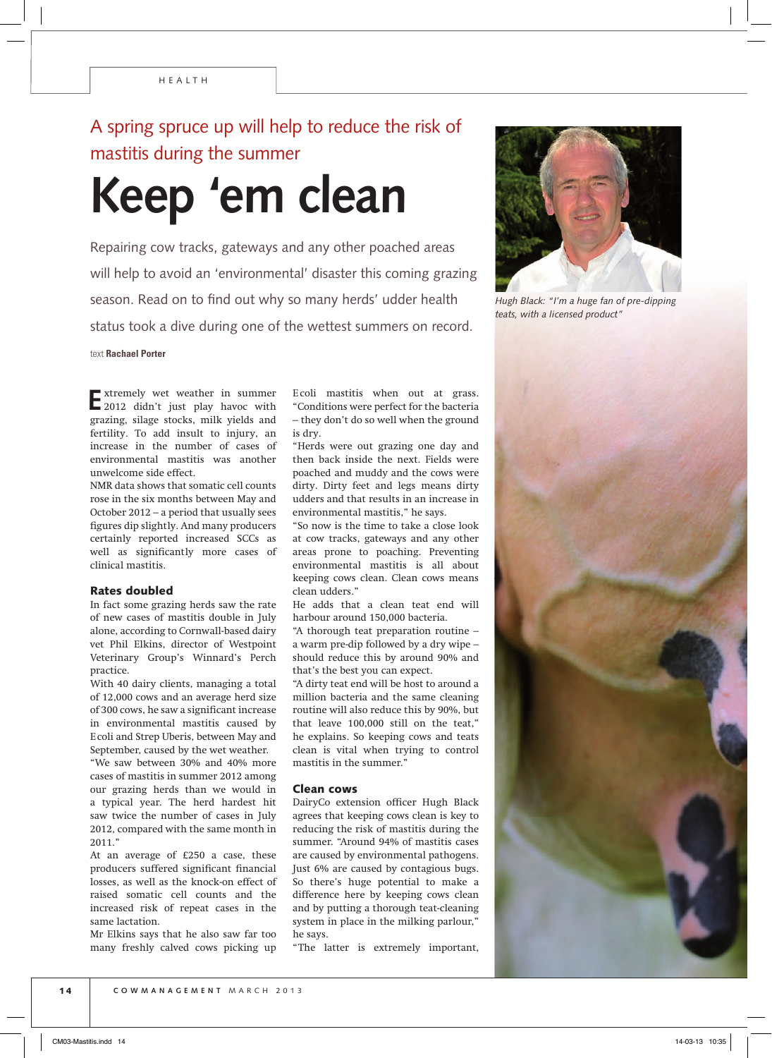# A spring spruce up will help to reduce the risk of mastitis during the summer

# **Keep 'em clean**

Repairing cow tracks, gateways and any other poached areas will help to avoid an 'environmental' disaster this coming grazing season. Read on to find out why so many herds' udder health status took a dive during one of the wettest summers on record.

text **Rachael Porter**

**E** xtremely wet weather in summer 2012 didn't just play havoc with grazing, silage stocks, milk yields and fertility. To add insult to injury, an increase in the number of cases of environmental mastitis was another unwelcome side effect.

NMR data shows that somatic cell counts rose in the six months between May and October 2012 – a period that usually sees figures dip slightly. And many producers certainly reported increased SCCs as well as significantly more cases of clinical mastitis.

#### Rates doubled

In fact some grazing herds saw the rate of new cases of mastitis double in July alone, according to Cornwall-based dairy vet Phil Elkins, director of Westpoint Veterinary Group's Winnard's Perch practice.

With 40 dairy clients, managing a total of 12,000 cows and an average herd size of 300 cows, he saw a significant increase in environmental mastitis caused by E coli and Strep Uberis, between May and September, caused by the wet weather.

"We saw between 30% and 40% more cases of mastitis in summer 2012 among our grazing herds than we would in a typical year. The herd hardest hit saw twice the number of cases in July 2012, compared with the same month in 2011."

At an average of £250 a case, these producers suffered significant financial losses, as well as the knock-on effect of raised somatic cell counts and the increased risk of repeat cases in the same lactation.

Mr Elkins says that he also saw far too many freshly calved cows picking up E coli mastitis when out at grass. "Conditions were perfect for the bacteria – they don't do so well when the ground is dry.

"Herds were out grazing one day and then back inside the next. Fields were poached and muddy and the cows were dirty. Dirty feet and legs means dirty udders and that results in an increase in environmental mastitis," he says.

"So now is the time to take a close look at cow tracks, gateways and any other areas prone to poaching. Preventing environmental mastitis is all about keeping cows clean. Clean cows means clean udders."

He adds that a clean teat end will harbour around 150,000 bacteria.

"A thorough teat preparation routine – a warm pre-dip followed by a dry wipe – should reduce this by around 90% and that's the best you can expect.

"A dirty teat end will be host to around a million bacteria and the same cleaning routine will also reduce this by 90%, but that leave 100,000 still on the teat," he explains. So keeping cows and teats clean is vital when trying to control mastitis in the summer."

## Clean cows

DairyCo extension officer Hugh Black agrees that keeping cows clean is key to reducing the risk of mastitis during the summer. "Around 94% of mastitis cases are caused by environmental pathogens. Just 6% are caused by contagious bugs. So there's huge potential to make a difference here by keeping cows clean and by putting a thorough teat-cleaning system in place in the milking parlour," he says.

"The latter is extremely important,



*Hugh Black: "I'm a huge fan of pre-dipping teats, with a licensed product"*